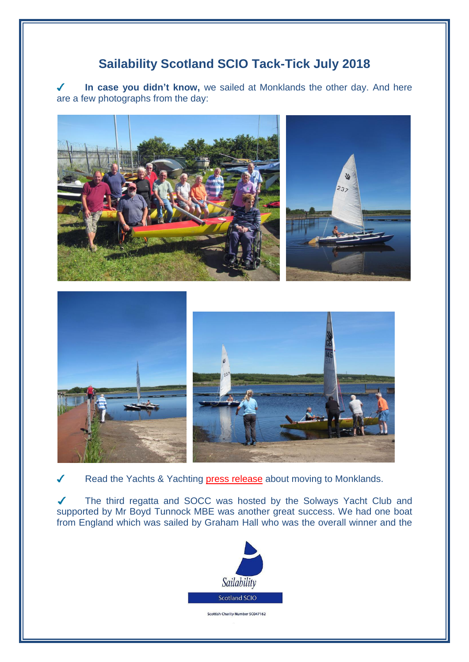## **Sailability Scotland SCIO Tack-Tick July 2018**

**In case you didn't know,** we sailed at Monklands the other day. And here  $\sqrt{\frac{1}{2}}$ are a few photographs from the day:







Read the Yachts & Yachting [press release](https://www.yachtsandyachting.com/news/207000/Sailability-Scotland-sails-into-a-new-home) about moving to Monklands.

 $\sqrt{2}$ The third regatta and SOCC was hosted by the Solways Yacht Club and supported by Mr Boyd Tunnock MBE was another great success. We had one boat from England which was sailed by Graham Hall who was the overall winner and the